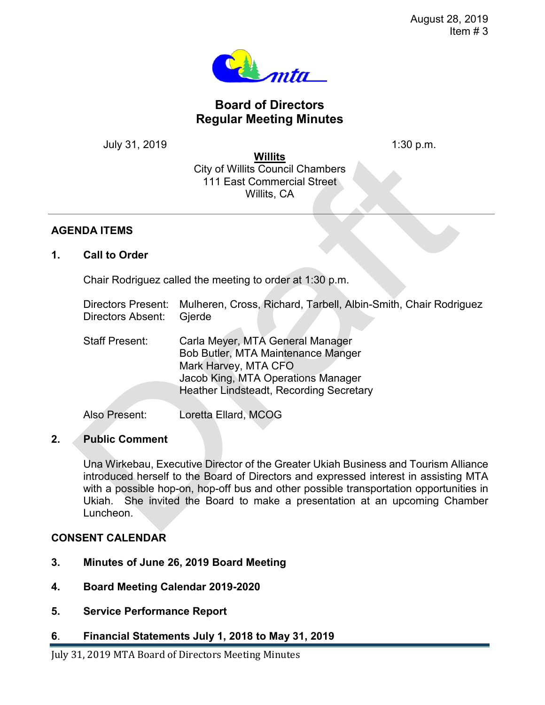

# **Board of Directors Regular Meeting Minutes**

July 31, 2019 1:30 p.m.

**Willits** City of Willits Council Chambers 111 East Commercial Street Willits, CA

### **AGENDA ITEMS**

**1. Call to Order**

Chair Rodriguez called the meeting to order at 1:30 p.m.

| Directors Present: Mulheren, Cross, Richard, Tarbell, Albin-Smith, Chair Rodriguez |  |  |  |
|------------------------------------------------------------------------------------|--|--|--|
| Directors Absent: Gierde                                                           |  |  |  |

| <b>Staff Present:</b> | Carla Meyer, MTA General Manager               |
|-----------------------|------------------------------------------------|
|                       | Bob Butler, MTA Maintenance Manger             |
|                       | Mark Harvey, MTA CFO                           |
|                       | Jacob King, MTA Operations Manager             |
|                       | <b>Heather Lindsteadt, Recording Secretary</b> |
|                       |                                                |

Also Present: Loretta Ellard, MCOG

# **2. Public Comment**

Una Wirkebau, Executive Director of the Greater Ukiah Business and Tourism Alliance introduced herself to the Board of Directors and expressed interest in assisting MTA with a possible hop-on, hop-off bus and other possible transportation opportunities in Ukiah. She invited the Board to make a presentation at an upcoming Chamber Luncheon.

# **CONSENT CALENDAR**

- **3. Minutes of June 26, 2019 Board Meeting**
- **4. Board Meeting Calendar 2019-2020**
- **5. Service Performance Report**
- **6**. **Financial Statements July 1, 2018 to May 31, 2019**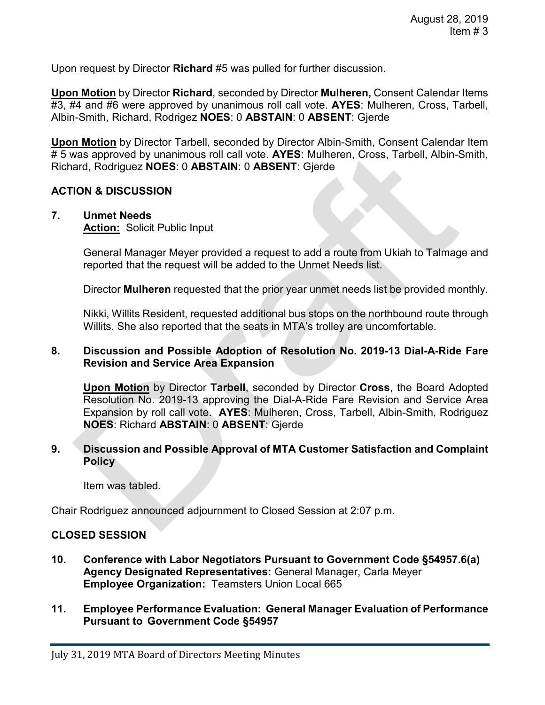Upon request by Director **Richard** #5 was pulled for further discussion.

**Upon Motion** by Director **Richard**, seconded by Director **Mulheren,** Consent Calendar Items #3, #4 and #6 were approved by unanimous roll call vote. **AYES**: Mulheren, Cross, Tarbell, Albin-Smith, Richard, Rodrigez **NOES**: 0 **ABSTAIN**: 0 **ABSENT**: Gjerde

**Upon Motion** by Director Tarbell, seconded by Director Albin-Smith, Consent Calendar Item # 5 was approved by unanimous roll call vote. **AYES**: Mulheren, Cross, Tarbell, Albin-Smith, Richard, Rodriguez **NOES**: 0 **ABSTAIN**: 0 **ABSENT**: Gjerde

#### **ACTION & DISCUSSION**

# **7. Unmet Needs**

**Action:** Solicit Public Input

General Manager Meyer provided a request to add a route from Ukiah to Talmage and reported that the request will be added to the Unmet Needs list.

Director **Mulheren** requested that the prior year unmet needs list be provided monthly.

Nikki, Willits Resident, requested additional bus stops on the northbound route through Willits. She also reported that the seats in MTA's trolley are uncomfortable.

#### **8. Discussion and Possible Adoption of Resolution No. 2019-13 Dial-A-Ride Fare Revision and Service Area Expansion**

**Upon Motion** by Director **Tarbell**, seconded by Director **Cross**, the Board Adopted Resolution No. 2019-13 approving the Dial-A-Ride Fare Revision and Service Area Expansion by roll call vote. **AYES**: Mulheren, Cross, Tarbell, Albin-Smith, Rodriguez **NOES**: Richard **ABSTAIN**: 0 **ABSENT**: Gjerde

#### **9. Discussion and Possible Approval of MTA Customer Satisfaction and Complaint Policy**

Item was tabled.

Chair Rodriguez announced adjournment to Closed Session at 2:07 p.m.

#### **CLOSED SESSION**

- **10. Conference with Labor Negotiators Pursuant to Government Code §54957.6(a) Agency Designated Representatives:** General Manager, Carla Meyer **Employee Organization:** Teamsters Union Local 665
- **11. Employee Performance Evaluation: General Manager Evaluation of Performance Pursuant to Government Code §54957**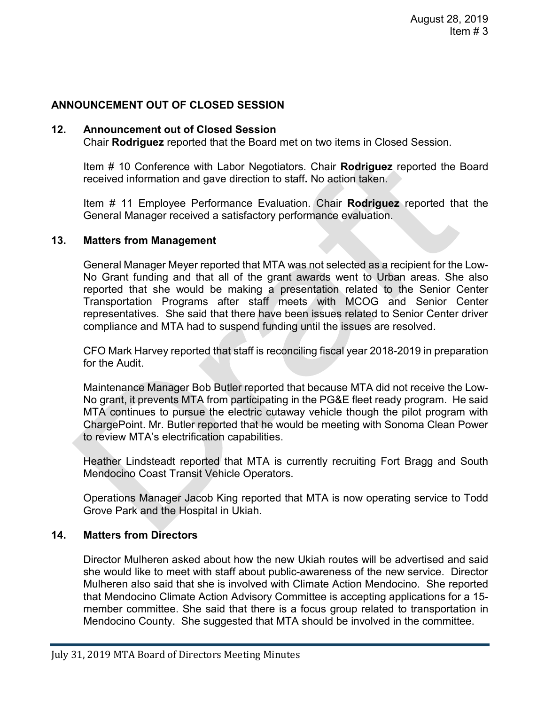# **ANNOUNCEMENT OUT OF CLOSED SESSION**

### **12. Announcement out of Closed Session**

Chair **Rodriguez** reported that the Board met on two items in Closed Session.

Item # 10 Conference with Labor Negotiators. Chair **Rodriguez** reported the Board received information and gave direction to staff**.** No action taken.

Item # 11 Employee Performance Evaluation. Chair **Rodriguez** reported that the General Manager received a satisfactory performance evaluation.

#### **13. Matters from Management**

General Manager Meyer reported that MTA was not selected as a recipient for the Low-No Grant funding and that all of the grant awards went to Urban areas. She also reported that she would be making a presentation related to the Senior Center Transportation Programs after staff meets with MCOG and Senior Center representatives. She said that there have been issues related to Senior Center driver compliance and MTA had to suspend funding until the issues are resolved.

CFO Mark Harvey reported that staff is reconciling fiscal year 2018-2019 in preparation for the Audit.

Maintenance Manager Bob Butler reported that because MTA did not receive the Low-No grant, it prevents MTA from participating in the PG&E fleet ready program. He said MTA continues to pursue the electric cutaway vehicle though the pilot program with ChargePoint. Mr. Butler reported that he would be meeting with Sonoma Clean Power to review MTA's electrification capabilities.

Heather Lindsteadt reported that MTA is currently recruiting Fort Bragg and South Mendocino Coast Transit Vehicle Operators.

Operations Manager Jacob King reported that MTA is now operating service to Todd Grove Park and the Hospital in Ukiah.

# **14. Matters from Directors**

Director Mulheren asked about how the new Ukiah routes will be advertised and said she would like to meet with staff about public-awareness of the new service. Director Mulheren also said that she is involved with Climate Action Mendocino. She reported that Mendocino Climate Action Advisory Committee is accepting applications for a 15 member committee. She said that there is a focus group related to transportation in Mendocino County. She suggested that MTA should be involved in the committee.